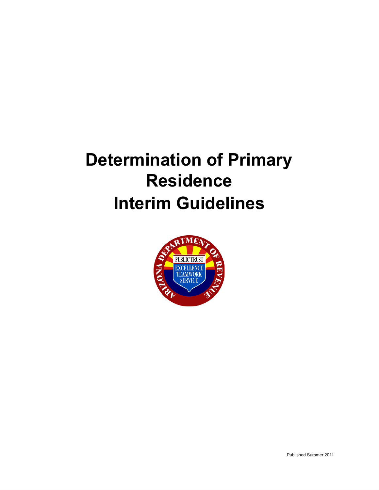# **Determination of Primary Residence Interim Guidelines**

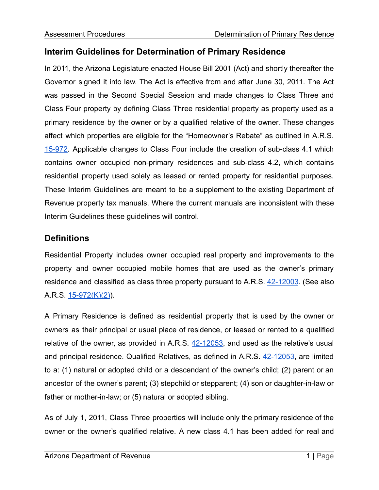## **Interim Guidelines for Determination of Primary Residence**

In 2011, the Arizona Legislature enacted House Bill 2001 (Act) and shortly thereafter the Governor signed it into law. The Act is effective from and after June 30, 2011. The Act was passed in the Second Special Session and made changes to Class Three and Class Four property by defining Class Three residential property as property used as a primary residence by the owner or by a qualified relative of the owner. These changes affect which properties are eligible for the "Homeowner's Rebate" as outlined in A.R.S. [15-972.](https://www.azleg.gov/viewDocument/?docName=http://www.azleg.gov/ars/15/00972.htm) Applicable changes to Class Four include the creation of sub-class 4.1 which contains owner occupied non-primary residences and sub-class 4.2, which contains residential property used solely as leased or rented property for residential purposes. These Interim Guidelines are meant to be a supplement to the existing Department of Revenue property tax manuals. Where the current manuals are inconsistent with these Interim Guidelines these guidelines will control.

### **Definitions**

Residential Property includes owner occupied real property and improvements to the property and owner occupied mobile homes that are used as the owner's primary residence and classified as class three property pursuant to A.R.S. [42-12003](https://www.azleg.gov/viewDocument/?docName=http://www.azleg.gov/ars/42/12003.htm). (See also A.R.S. [15-972\(K\)\(2\)](https://www.azleg.gov/viewDocument/?docName=http://www.azleg.gov/ars/15/00972.htm)).

A Primary Residence is defined as residential property that is used by the owner or owners as their principal or usual place of residence, or leased or rented to a qualified relative of the owner, as provided in A.R.S.  $42-12053$ , and used as the relative's usual and principal residence. Qualified Relatives, as defined in A.R.S. [42-12053,](https://www.azleg.gov/viewDocument/?docName=http://www.azleg.gov/ars/42/12053.htm) are limited to a: (1) natural or adopted child or a descendant of the owner's child; (2) parent or an ancestor of the owner's parent; (3) stepchild or stepparent; (4) son or daughter-in-law or father or mother-in-law; or (5) natural or adopted sibling.

As of July 1, 2011, Class Three properties will include only the primary residence of the owner or the owner's qualified relative. A new class 4.1 has been added for real and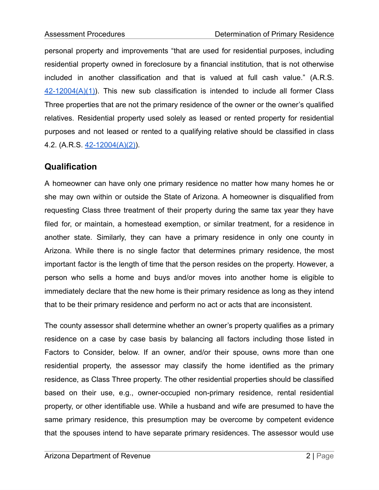personal property and improvements "that are used for residential purposes, including residential property owned in foreclosure by a financial institution, that is not otherwise included in another classification and that is valued at full cash value." (A.R.S.  $42-12004(A)(1)$ . This new sub classification is intended to include all former Class Three properties that are not the primary residence of the owner or the owner's qualified relatives. Residential property used solely as leased or rented property for residential purposes and not leased or rented to a qualifying relative should be classified in class 4.2. (A.R.S. [42-12004\(A\)\(2\)\)](http://azleg.gov/viewDocument/?docName=http://www.azleg.gov/ars/42/12004.htm).

### **Qualification**

A homeowner can have only one primary residence no matter how many homes he or she may own within or outside the State of Arizona. A homeowner is disqualified from requesting Class three treatment of their property during the same tax year they have filed for, or maintain, a homestead exemption, or similar treatment, for a residence in another state. Similarly, they can have a primary residence in only one county in Arizona. While there is no single factor that determines primary residence, the most important factor is the length of time that the person resides on the property. However, a person who sells a home and buys and/or moves into another home is eligible to immediately declare that the new home is their primary residence as long as they intend that to be their primary residence and perform no act or acts that are inconsistent.

The county assessor shall determine whether an owner's property qualifies as a primary residence on a case by case basis by balancing all factors including those listed in Factors to Consider, below. If an owner, and/or their spouse, owns more than one residential property, the assessor may classify the home identified as the primary residence, as Class Three property. The other residential properties should be classified based on their use, e.g., owner-occupied non-primary residence, rental residential property, or other identifiable use. While a husband and wife are presumed to have the same primary residence, this presumption may be overcome by competent evidence that the spouses intend to have separate primary residences. The assessor would use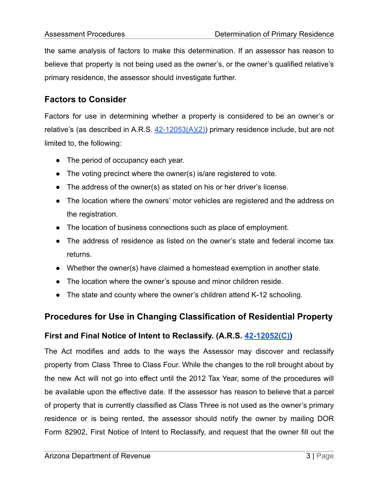the same analysis of factors to make this determination. If an assessor has reason to believe that property is not being used as the owner's, or the owner's qualified relative's primary residence, the assessor should investigate further.

# **Factors to Consider**

Factors for use in determining whether a property is considered to be an owner's or relative's (as described in A.R.S.  $42-12053(A)(2)$ ) primary residence include, but are not limited to, the following:

- The period of occupancy each year.
- The voting precinct where the owner(s) is/are registered to vote.
- The address of the owner(s) as stated on his or her driver's license.
- The location where the owners' motor vehicles are registered and the address on the registration.
- The location of business connections such as place of employment.
- The address of residence as listed on the owner's state and federal income tax returns.
- Whether the owner(s) have claimed a homestead exemption in another state.
- The location where the owner's spouse and minor children reside.
- The state and county where the owner's children attend K-12 schooling.

### **Procedures for Use in Changing Classification of Residential Property**

#### **First and Final Notice of Intent to Reclassify. (A.R.S. [42-12052\(C\)](https://www.azleg.gov/viewDocument/?docName=http://www.azleg.gov/ars/42/12052.htm))**

The Act modifies and adds to the ways the Assessor may discover and reclassify property from Class Three to Class Four. While the changes to the roll brought about by the new Act will not go into effect until the 2012 Tax Year, some of the procedures will be available upon the effective date. If the assessor has reason to believe that a parcel of property that is currently classified as Class Three is not used as the owner's primary residence or is being rented, the assessor should notify the owner by mailing DOR Form 82902, First Notice of Intent to Reclassify, and request that the owner fill out the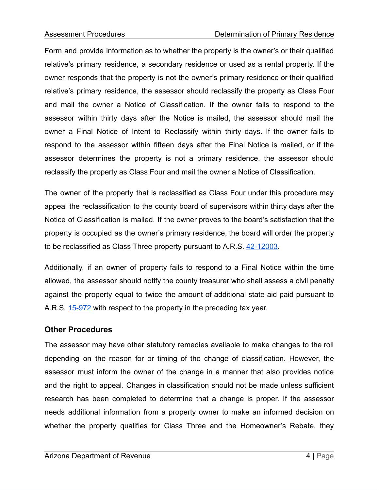Form and provide information as to whether the property is the owner's or their qualified relative's primary residence, a secondary residence or used as a rental property. If the owner responds that the property is not the owner's primary residence or their qualified relative's primary residence, the assessor should reclassify the property as Class Four and mail the owner a Notice of Classification. If the owner fails to respond to the assessor within thirty days after the Notice is mailed, the assessor should mail the owner a Final Notice of Intent to Reclassify within thirty days. If the owner fails to respond to the assessor within fifteen days after the Final Notice is mailed, or if the assessor determines the property is not a primary residence, the assessor should reclassify the property as Class Four and mail the owner a Notice of Classification.

The owner of the property that is reclassified as Class Four under this procedure may appeal the reclassification to the county board of supervisors within thirty days after the Notice of Classification is mailed. If the owner proves to the board's satisfaction that the property is occupied as the owner's primary residence, the board will order the property to be reclassified as Class Three property pursuant to A.R.S. [42-12003](https://www.azleg.gov/viewDocument/?docName=http://www.azleg.gov/ars/42/12003.htm).

Additionally, if an owner of property fails to respond to a Final Notice within the time allowed, the assessor should notify the county treasurer who shall assess a civil penalty against the property equal to twice the amount of additional state aid paid pursuant to A.R.S. [15-972](https://www.azleg.gov/viewDocument/?docName=http://www.azleg.gov/ars/15/00972.htm) with respect to the property in the preceding tax year.

#### **Other Procedures**

The assessor may have other statutory remedies available to make changes to the roll depending on the reason for or timing of the change of classification. However, the assessor must inform the owner of the change in a manner that also provides notice and the right to appeal. Changes in classification should not be made unless sufficient research has been completed to determine that a change is proper. If the assessor needs additional information from a property owner to make an informed decision on whether the property qualifies for Class Three and the Homeowner's Rebate, they